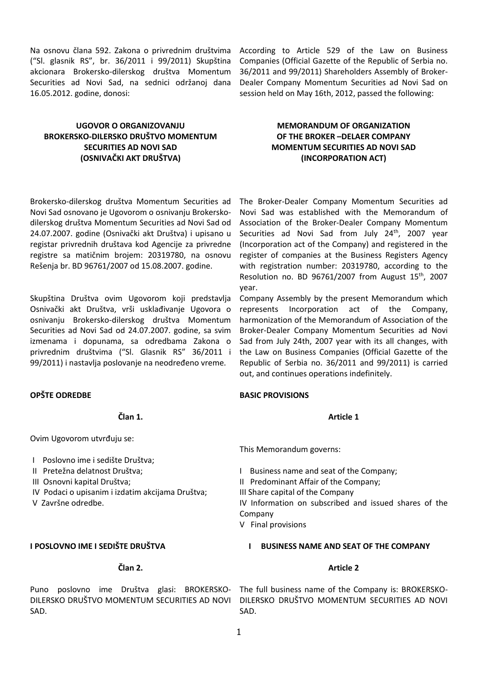Na osnovu člana 592. Zakona o privrednim društvima ("Sl. glasnik RS", br. 36/2011 i 99/2011) Skupština akcionara Brokersko-dilerskog društva Momentum Securities ad Novi Sad, na sednici održanoj dana 16.05.2012. godine, donosi:

# **UGOVOR O ORGANIZOVANJU BROKERSKO-DILERSKO DRUŠTVO MOMENTUM SECURITIES AD NOVI SAD (OSNIVAČKI AKT DRUŠTVA)**

Brokersko-dilerskog društva Momentum Securities ad Novi Sad osnovano je Ugovorom o osnivanju Brokerskodilerskog društva Momentum Securities ad Novi Sad od 24.07.2007. godine (Osnivački akt Društva) i upisano u registar privrednih društava kod Agencije za privredne registre sa matičnim brojem: 20319780, na osnovu Rešenja br. BD 96761/2007 od 15.08.2007. godine.

Skupština Društva ovim Ugovorom koji predstavlja Osnivački akt Društva, vrši usklađivanje Ugovora o osnivanju Brokersko-dilerskog društva Momentum Securities ad Novi Sad od 24.07.2007. godine, sa svim izmenama i dopunama, sa odredbama Zakona o privrednim društvima ("Sl. Glasnik RS" 36/2011 i 99/2011) i nastavlja poslovanje na neodređeno vreme.

## **OPŠTE ODREDBE**

**Član 1.**

Ovim Ugovorom utvrđuju se:

I Poslovno ime i sedište Društva;

II Pretežna delatnost Društva;

III Osnovni kapital Društva;

IV Podaci o upisanim i izdatim akcijama Društva;

V Završne odredbe.

## **I POSLOVNO IME I SEDIŠTE DRUŠTVA**

## **Član 2.**

SAD.

According to Article 529 of the Law on Business Companies (Official Gazette of the Republic of Serbia no. 36/2011 and 99/2011) Shareholders Assembly of Broker-Dealer Company Momentum Securities ad Novi Sad on session held on May 16th, 2012, passed the following:

# **MEMORANDUM OF ORGANIZATION OF THE BROKER –DELAER COMPANY MOMENTUM SECURITIES AD NOVI SAD (INCORPORATION ACT)**

The Broker-Dealer Company Momentum Securities ad Novi Sad was established with the Memorandum of Association of the Broker-Dealer Company Momentum Securities ad Novi Sad from July 24<sup>th</sup>, 2007 year (Incorporation act of the Company) and registered in the register of companies at the Business Registers Agency with registration number: 20319780, according to the Resolution no. BD 96761/2007 from August  $15<sup>th</sup>$ , 2007 year.

Company Assembly by the present Memorandum which represents Incorporation act of the Company, harmonization of the Memorandum of Association of the Broker-Dealer Company Momentum Securities ad Novi Sad from July 24th, 2007 year with its all changes, with the Law on Business Companies (Official Gazette of the Republic of Serbia no. 36/2011 and 99/2011) is carried out, and continues operations indefinitely.

## **BASIC PROVISIONS**

#### **Article 1**

This Memorandum governs:

I Business name and seat of the Company;

II Predominant Affair of the Company;

III Share capital of the Company

IV Information on subscribed and issued shares of the Company

V Final provisions

## **I BUSINESS NAME AND SEAT OF THE COMPANY**

#### **Article 2**

Puno poslovno ime Društva glasi: BROKERSKO-The full business name of the Company is: BROKERSKO-DILERSKO DRUŠTVO MOMENTUM SECURITIES AD NOVI DILERSKO DRUŠTVO MOMENTUM SECURITIES AD NOVI SAD.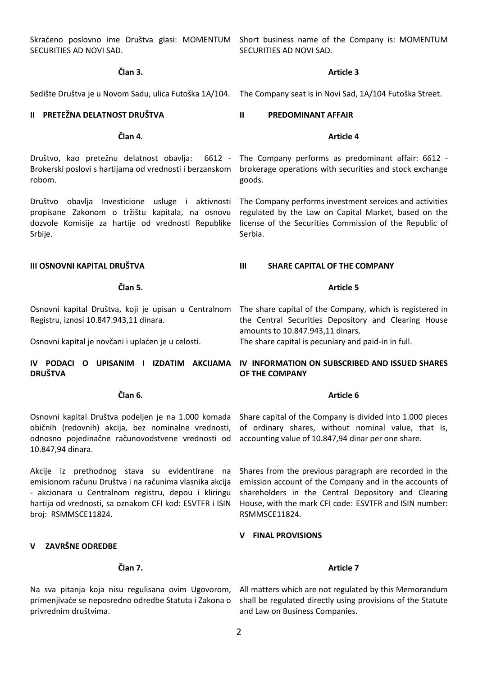SECURITIES AD NOVI SAD.

Skraćeno poslovno ime Društva glasi: MOMENTUM Short business name of the Company is: MOMENTUM SECURITIES AD NOVI SAD.

### **Član 3.**

#### **II PRETEŽNA DELATNOST DRUŠTVA**

# **Član 4.**

Društvo, kao pretežnu delatnost obavlja: 6612 - Brokerski poslovi s hartijama od vrednosti i berzanskom robom.

Društvo obavlja Investicione usluge i aktivnosti propisane Zakonom o tržištu kapitala, na osnovu dozvole Komisije za hartije od vrednosti Republike Srbije.

#### **III OSNOVNI KAPITAL DRUŠTVA**

**Član 5.**

Registru, iznosi 10.847.943,11 dinara.

Osnovni kapital je novčani i uplaćen je u celosti.

# **DRUŠTVA**

#### **Član 6.**

Osnovni kapital Društva podeljen je na 1.000 komada običnih (redovnih) akcija, bez nominalne vrednosti, odnosno pojedinačne računovodstvene vrednosti od 10.847,94 dinara.

Akcije iz prethodnog stava su evidentirane na emisionom računu Društva i na računima vlasnika akcija - akcionara u Centralnom registru, depou i kliringu hartija od vrednosti, sa oznakom CFI kod: ESVTFR i ISIN broj: RSMMSCE11824.

# **V ZAVRŠNE ODREDBE**

# **Član 7.**

Na sva pitanja koja nisu regulisana ovim Ugovorom, primenjivaće se neposredno odredbe Statuta i Zakona o privrednim društvima.

### **Article 3**

Sedište Društva je u Novom Sadu, ulica Futoška 1A/104. The Company seat is in Novi Sad, 1A/104 Futoška Street.

## **II PREDOMINANT AFFAIR**

## **Article 4**

The Company performs as predominant affair: 6612 brokerage operations with securities and stock exchange goods.

The Company performs investment services and activities regulated by the Law on Capital Market, based on the license of the Securities Commission of the Republic of Serbia.

## **III SHARE CAPITAL OF THE COMPANY**

#### **Article 5**

Osnovni kapital Društva, koji je upisan u Centralnom The share capital of the Company, which is registered in the Central Securities Depository and Clearing House amounts to 10.847.943,11 dinars.

The share capital is pecuniary and paid-in in full.

# **IV PODACI O UPISANIM I IZDATIM AKCIJAMA IV INFORMATION ON SUBSCRIBED AND ISSUED SHARES OF THE COMPANY**

## **Article 6**

Share capital of the Company is divided into 1.000 pieces of ordinary shares, without nominal value, that is, accounting value of 10.847,94 dinar per one share.

Shares from the previous paragraph are recorded in the emission account of the Company and in the accounts of shareholders in the Central Depository and Clearing House, with the mark CFI code: ESVTFR and ISIN number: RSMMSCE11824.

## **V FINAL PROVISIONS**

#### **Article 7**

All matters which are not regulated by this Memorandum shall be regulated directly using provisions of the Statute and Law on Business Companies.